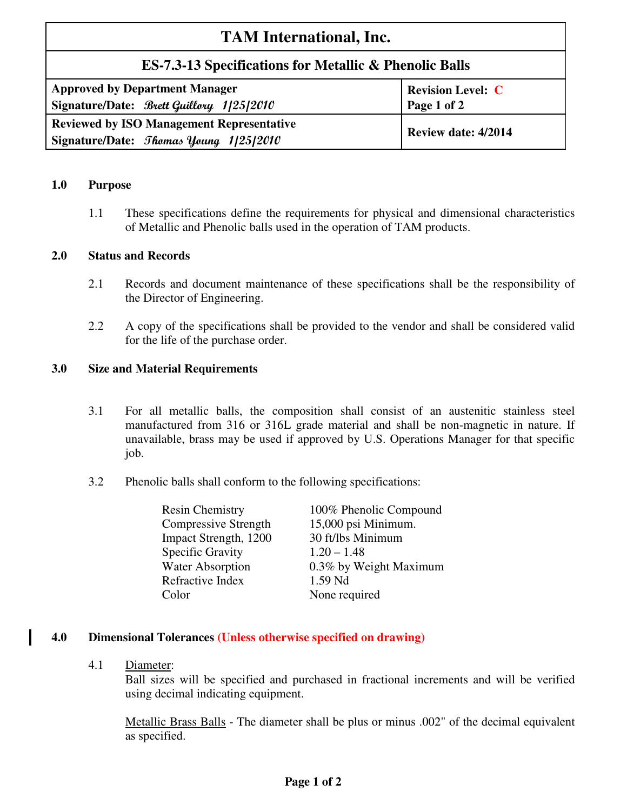# **TAM International, Inc.**

## **ES-7.3-13 Specifications for Metallic & Phenolic Balls**

| <b>Approved by Department Manager</b>                                                              | <b>Revision Level: C</b> |
|----------------------------------------------------------------------------------------------------|--------------------------|
| Signature/Date: Brett Guillory 1/25/2010                                                           | Page 1 of 2              |
| <b>Reviewed by ISO Management Representative</b><br>Signature/Date: <i>Shomas Young 1</i> /25/2010 | Review date: 4/2014      |

#### **1.0 Purpose**

1.1 These specifications define the requirements for physical and dimensional characteristics of Metallic and Phenolic balls used in the operation of TAM products.

#### **2.0 Status and Records**

- 2.1 Records and document maintenance of these specifications shall be the responsibility of the Director of Engineering.
- 2.2 A copy of the specifications shall be provided to the vendor and shall be considered valid for the life of the purchase order.

#### **3.0 Size and Material Requirements**

- 3.1 For all metallic balls, the composition shall consist of an austenitic stainless steel manufactured from 316 or 316L grade material and shall be non-magnetic in nature. If unavailable, brass may be used if approved by U.S. Operations Manager for that specific job.
- 3.2 Phenolic balls shall conform to the following specifications:

| <b>Resin Chemistry</b>  | 100% Phenolic Compound |
|-------------------------|------------------------|
| Compressive Strength    | 15,000 psi Minimum.    |
| Impact Strength, 1200   | 30 ft/lbs Minimum      |
| Specific Gravity        | $1.20 - 1.48$          |
| <b>Water Absorption</b> | 0.3% by Weight Maximum |
| Refractive Index        | 1.59 Nd                |
| Color                   | None required          |

### **4.0 Dimensional Tolerances (Unless otherwise specified on drawing)**

4.1 Diameter:

Ball sizes will be specified and purchased in fractional increments and will be verified using decimal indicating equipment.

Metallic Brass Balls - The diameter shall be plus or minus .002" of the decimal equivalent as specified.